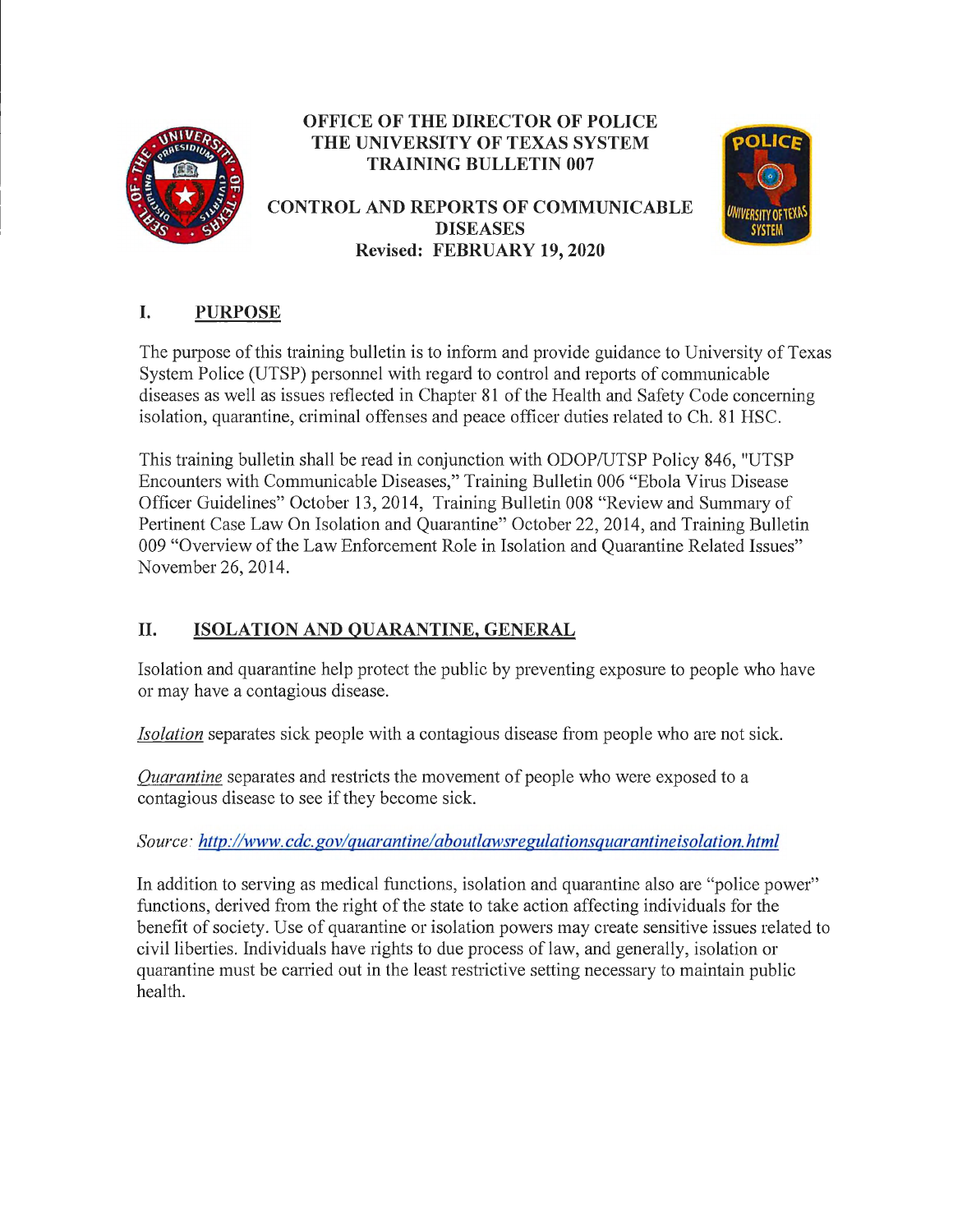

### **OFFICE OF THE DIRECTOR OF POLICE THE UNIVERSITY OF TEXAS SYSTEM TRAINING BULLETIN 007**

#### **CONTROL AND REPORTS OF COMMUNICABLE DISEASES Revised: FEBRUARY 19, 2020**



# **I. PURPOSE**

The purpose of this training bulletin is to inform and provide guidance to University of Texas System Police (UTSP) personnel with regard to control and reports of communicable diseases as well as issues reflected in Chapter 81 of the Health and Safety Code concerning isolation, quarantine, criminal offenses and peace officer duties related to Ch. 81 HSC.

This training bulletin shall be read in conjunction with ODOP/UTSP Policy 846, "UTSP Encounters with Communicable Diseases," Training Bulletin 006 "Ebola Virus Disease Officer Guidelines" October 13, 2014, Training Bulletin 008 "Review and Summary of Pertinent Case Law On Isolation and Quarantine" October 22, 2014, and Training Bulletin 009 "Overview of the Law Enforcement Role in Isolation and Quarantine Related Issues" November 26, 2014.

# **II. ISOLATION AND QUARANTINE, GENERAL**

Isolation and quarantine help protect the public by preventing exposure to people who have or may have a contagious disease.

*Isolation* separates sick people with a contagious disease from people who are not sick.

*Quarantine* separates and restricts the movement of people who were exposed to a contagious disease to see if they become sick.

*Source: http://www. cdc. gov/ quarantine/ aboutlawsregulationsquarantine isolation. html* 

In addition to serving as medical functions, isolation and quarantine also are "police power" functions, derived from the right of the state to take action affecting individuals for the benefit of society. Use of quarantine or isolation powers may create sensitive issues related to civil liberties. Individuals have rights to due process of law, and generally, isolation or quarantine must be carried out in the least restrictive setting necessary to maintain public health.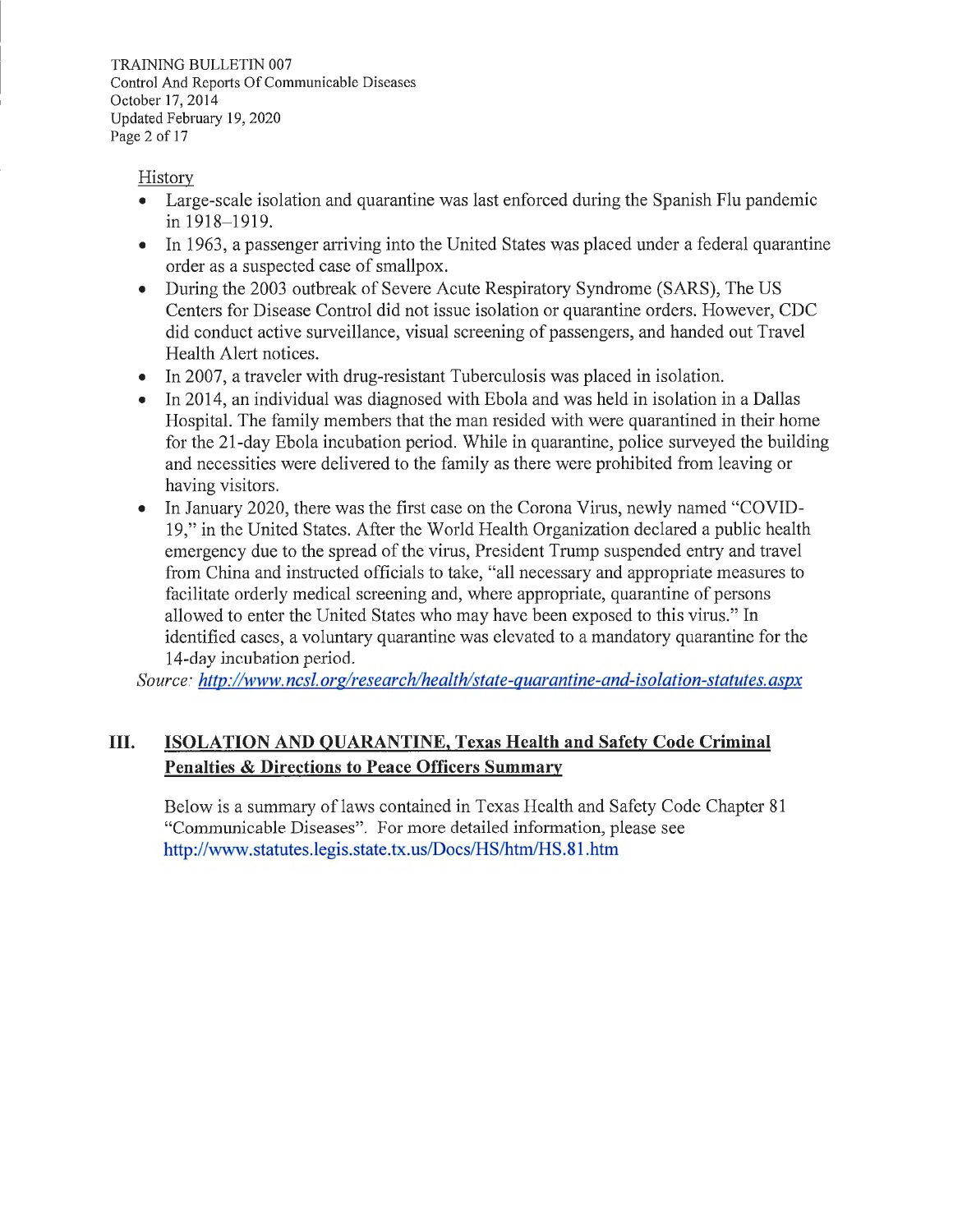TRAINING BULLETIN 007 Control And Reports Of Communicable Diseases October 17, 2014 Updated February 19, 2020 Page 2 of 17

History

- Large-scale isolation and quarantine was last enforced during the Spanish Flu pandemic in 1918-1919.
- In 1963, a passenger arriving into the United States was placed under a federal quarantine order as a suspected case of smallpox.
- During the 2003 outbreak of Severe Acute Respiratory Syndrome (SARS), The US Centers for Disease Control did not issue isolation or quarantine orders. However, CDC did conduct active surveillance, visual screening of passengers, and handed out Travel Health Alert notices.
- In 2007, a traveler with drug-resistant Tuberculosis was placed in isolation.
- In 2014, an individual was diagnosed with Ebola and was held in isolation in a Dallas Hospital. The family members that the man resided with were quarantined in their home for the 21-day Ebola incubation period. While in quarantine, police surveyed the building and necessities were delivered to the family as there were prohibited from leaving or having visitors.
- In January 2020, there was the first case on the Corona Virus, newly named "COVID-19," in the United States. After the World Health Organization declared a public health emergency due to the spread of the virus, President Trump suspended entry and travel from China and instructed officials to take, "all necessary and appropriate measures to facilitate orderly medical screening and, where appropriate, quarantine of persons allowed to enter the United States who may have been exposed to this virus." In identified cases, a voluntary quarantine was elevated to a mandatory quarantine for the 14-day incubation period.

*Source: http ://www.ncsl.org/research/health/state-quarantine-and-isolation-statutes. aspx* 

#### **III. ISOLATION AND QUARANTINE, Texas Health and Safety Code Criminal Penalties & Directions to Peace Officers Summary**

Below is a summary of laws contained in Texas Health and Safety Code Chapter 81 "Communicable Diseases". For more detailed information, please see http://www.statutes.legis.state.tx.us/Docs/HS/htm/HS.81.htm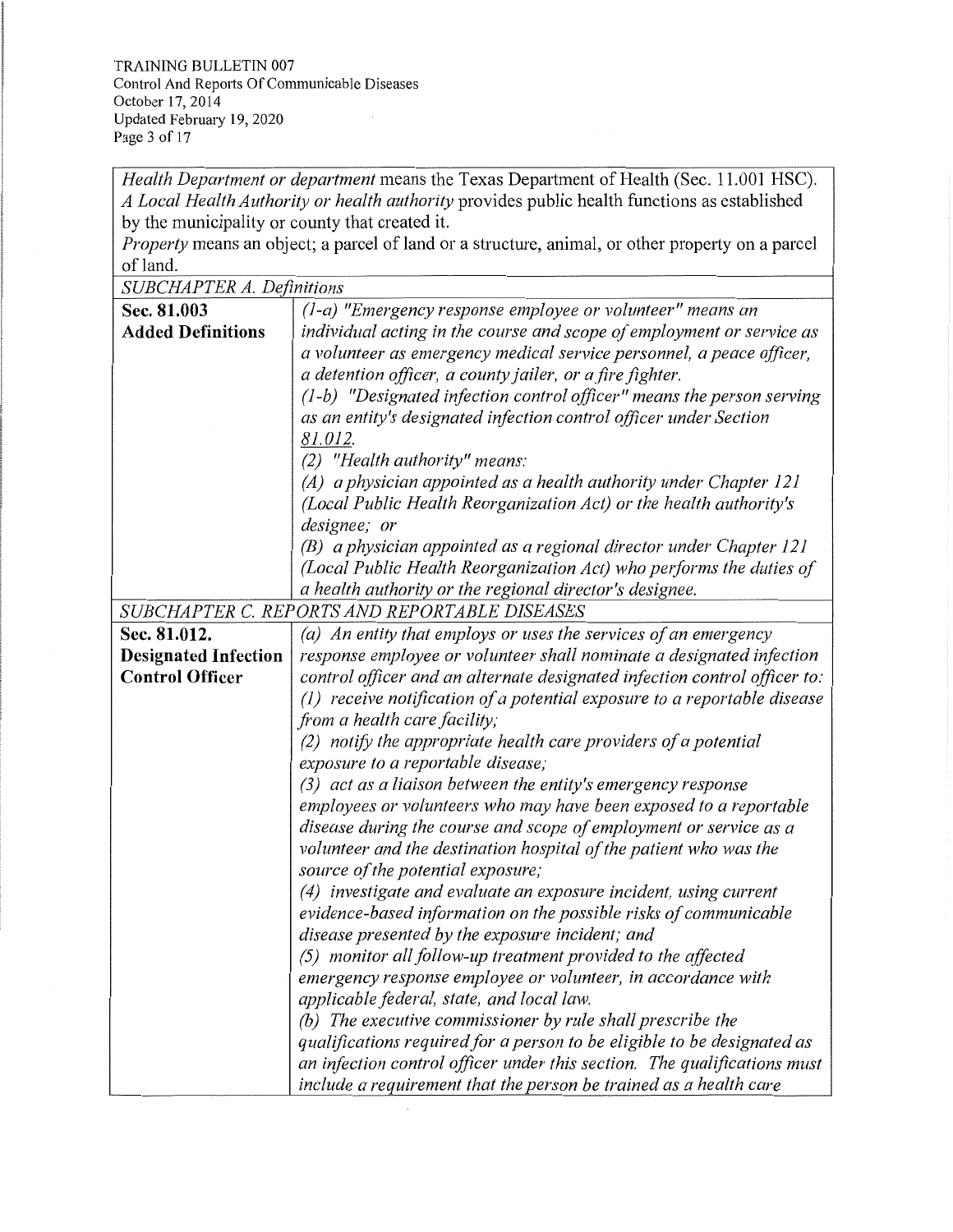TRAINING BULLETIN 007 Control And Reports Of Communicable Diseases October 17, 2014 Updated Februmy 19, 2020 Page 3 of 17

*Health Department or department* means the Texas Department of Health (Sec. 11.001 HSC). *A Local Health Authority or health authority* provides public health functions as established by the municipality or county that created it.

*Property* means an object; a parcel of land or a structure, animal, or other property on a parcel of land.

*SUBCHAPTER A. Definitions* 

| DODCHAI TEN A. Definitions  |                                                                            |
|-----------------------------|----------------------------------------------------------------------------|
| Sec. 81.003                 | $(1-a)$ "Emergency response employee or volunteer" means an                |
| <b>Added Definitions</b>    | individual acting in the course and scope of employment or service as      |
|                             | a volunteer as emergency medical service personnel, a peace officer,       |
|                             | a detention officer, a county jailer, or a fire fighter.                   |
|                             | $(1-b)$ "Designated infection control officer" means the person serving    |
|                             | as an entity's designated infection control officer under Section          |
|                             | 81.012.                                                                    |
|                             | (2) "Health authority" means:                                              |
|                             | $(A)$ a physician appointed as a health authority under Chapter 121        |
|                             | (Local Public Health Reorganization Act) or the health authority's         |
|                             | designee; or                                                               |
|                             | (B) a physician appointed as a regional director under Chapter 121         |
|                             | (Local Public Health Reorganization Act) who performs the duties of        |
|                             | a health authority or the regional director's designee.                    |
|                             | SUBCHAPTER C. REPORTS AND REPORTABLE DISEASES                              |
| Sec. 81.012.                | (a) An entity that employs or uses the services of an emergency            |
| <b>Designated Infection</b> | response employee or volunteer shall nominate a designated infection       |
| <b>Control Officer</b>      | control officer and an alternate designated infection control officer to:  |
|                             | $(1)$ receive notification of a potential exposure to a reportable disease |
|                             | from a health care facility;                                               |
|                             | $(2)$ notify the appropriate health care providers of a potential          |
|                             | exposure to a reportable disease;                                          |
|                             | (3) act as a liaison between the entity's emergency response               |
|                             | employees or volunteers who may have been exposed to a reportable          |
|                             | disease during the course and scope of employment or service as a          |
|                             | volunteer and the destination hospital of the patient who was the          |
|                             | source of the potential exposure;                                          |
|                             | (4) investigate and evaluate an exposure incident, using current           |
|                             | evidence-based information on the possible risks of communicable           |
|                             | disease presented by the exposure incident; and                            |
|                             | (5) monitor all follow-up treatment provided to the affected               |
|                             | emergency response employee or volunteer, in accordance with               |
|                             | applicable federal, state, and local law.                                  |
|                             | (b) The executive commissioner by rule shall prescribe the                 |
|                             | qualifications required for a person to be eligible to be designated as    |
|                             | an infection control officer under this section. The qualifications must   |
|                             | include a requirement that the person be trained as a health care          |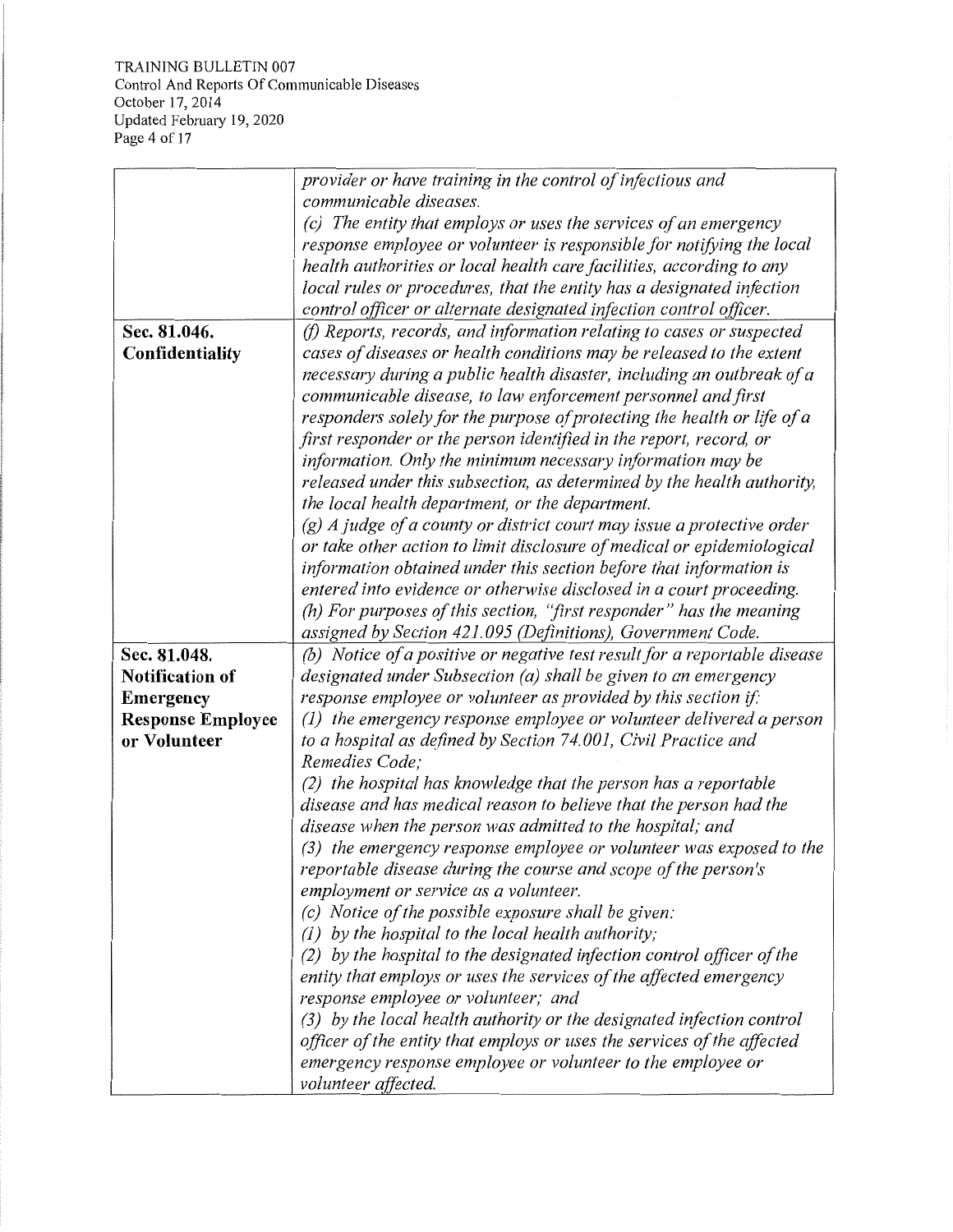TRAINING BULLETIN 007 Control And Reports Of Communicable Diseases October 17, 2014 Updated February 19, 2020 Page 4 of 17

|                          | provider or have training in the control of infectious and                |
|--------------------------|---------------------------------------------------------------------------|
|                          | communicable diseases.                                                    |
|                          | (c) The entity that employs or uses the services of an emergency          |
|                          | response employee or volunteer is responsible for notifying the local     |
|                          | health authorities or local health care facilities, according to any      |
|                          | local rules or procedures, that the entity has a designated infection     |
|                          | control officer or alternate designated infection control officer.        |
| Sec. 81.046.             | (f) Reports, records, and information relating to cases or suspected      |
| Confidentiality          | cases of diseases or health conditions may be released to the extent      |
|                          | necessary during a public health disaster, including an outbreak of a     |
|                          | communicable disease, to law enforcement personnel and first              |
|                          | responders solely for the purpose of protecting the health or life of a   |
|                          | first responder or the person identified in the report, record, or        |
|                          | information. Only the minimum necessary information may be                |
|                          | released under this subsection, as determined by the health authority,    |
|                          | the local health department, or the department.                           |
|                          | $(g)$ A judge of a county or district court may issue a protective order  |
|                          | or take other action to limit disclosure of medical or epidemiological    |
|                          | information obtained under this section before that information is        |
|                          | entered into evidence or otherwise disclosed in a court proceeding.       |
|                          | (h) For purposes of this section, "first responder" has the meaning       |
|                          | assigned by Section 421.095 (Definitions), Government Code.               |
| Sec. 81.048.             | (b) Notice of a positive or negative test result for a reportable disease |
| <b>Notification of</b>   | designated under Subsection (a) shall be given to an emergency            |
| <b>Emergency</b>         | response employee or volunteer as provided by this section if:            |
| <b>Response Employee</b> | (1) the emergency response employee or volunteer delivered a person       |
| or Volunteer             | to a hospital as defined by Section 74.001, Civil Practice and            |
|                          | Remedies Code;                                                            |
|                          | (2) the hospital has knowledge that the person has a reportable           |
|                          | disease and has medical reason to believe that the person had the         |
|                          | disease when the person was admitted to the hospital; and                 |
|                          | (3) the emergency response employee or volunteer was exposed to the       |
|                          | reportable disease during the course and scope of the person's            |
|                          | employment or service as a volunteer.                                     |
|                          | (c) Notice of the possible exposure shall be given:                       |
|                          | (1) by the hospital to the local health authority;                        |
|                          | (2) by the hospital to the designated infection control officer of the    |
|                          | entity that employs or uses the services of the affected emergency        |
|                          | response employee or volunteer; and                                       |
|                          | (3) by the local health authority or the designated infection control     |
|                          | officer of the entity that employs or uses the services of the affected   |
|                          | emergency response employee or volunteer to the employee or               |
|                          | volunteer affected.                                                       |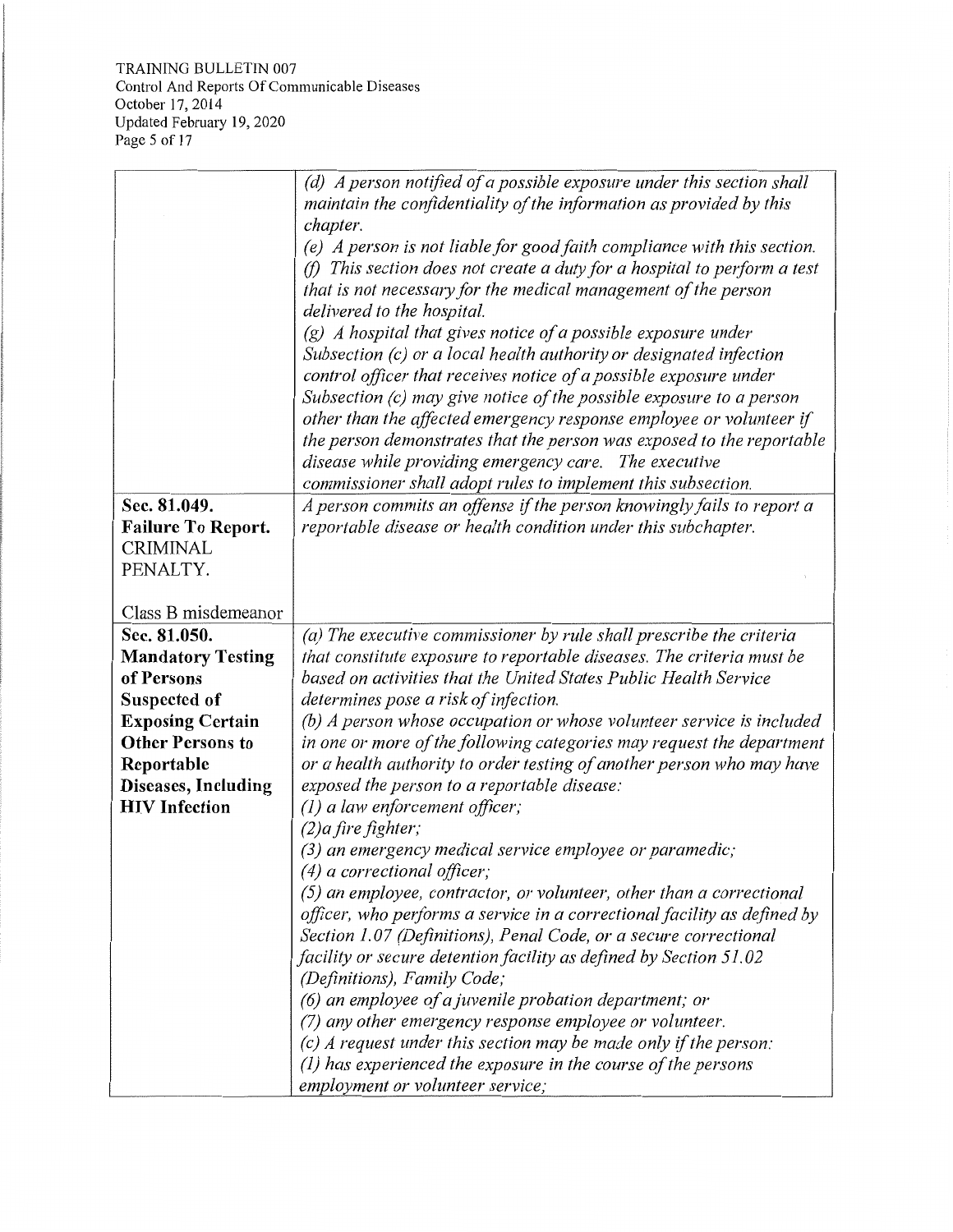TRAINING BULLETIN 007 Control And Reports Of Communicable Diseases October 17, 2014 Updated February 19, 2020 Page 5 of 17

|                                              | (d) A person notified of a possible exposure under this section shall                                                                      |
|----------------------------------------------|--------------------------------------------------------------------------------------------------------------------------------------------|
|                                              | maintain the confidentiality of the information as provided by this                                                                        |
|                                              | chapter.                                                                                                                                   |
|                                              | (e) A person is not liable for good faith compliance with this section.                                                                    |
|                                              | (f) This section does not create a duty for a hospital to perform a test                                                                   |
|                                              | that is not necessary for the medical management of the person                                                                             |
|                                              | delivered to the hospital.                                                                                                                 |
|                                              | $(g)$ A hospital that gives notice of a possible exposure under                                                                            |
|                                              | Subsection (c) or a local health authority or designated infection                                                                         |
|                                              | control officer that receives notice of a possible exposure under<br>Subsection $(c)$ may give notice of the possible exposure to a person |
|                                              |                                                                                                                                            |
|                                              | other than the affected emergency response employee or volunteer if                                                                        |
|                                              | the person demonstrates that the person was exposed to the reportable                                                                      |
|                                              | disease while providing emergency care. The executive                                                                                      |
|                                              | commissioner shall adopt rules to implement this subsection.                                                                               |
| Sec. 81.049.                                 | A person commits an offense if the person knowingly fails to report a                                                                      |
| <b>Failure To Report.</b><br><b>CRIMINAL</b> | reportable disease or health condition under this subchapter.                                                                              |
| PENALTY.                                     |                                                                                                                                            |
|                                              |                                                                                                                                            |
| Class B misdemeanor                          |                                                                                                                                            |
| Sec. 81.050.                                 | (a) The executive commissioner by rule shall prescribe the criteria                                                                        |
| <b>Mandatory Testing</b>                     | that constitute exposure to reportable diseases. The criteria must be                                                                      |
| of Persons                                   | based on activities that the United States Public Health Service                                                                           |
| Suspected of                                 | determines pose a risk of infection.                                                                                                       |
| <b>Exposing Certain</b>                      | (b) A person whose occupation or whose volunteer service is included                                                                       |
| <b>Other Persons to</b>                      | in one or more of the following categories may request the department                                                                      |
| Reportable                                   | or a health authority to order testing of another person who may have                                                                      |
| Diseases, Including                          | exposed the person to a reportable disease:                                                                                                |
| <b>HIV</b> Infection                         | $(1)$ a law enforcement officer;                                                                                                           |
|                                              | $(2)$ a fire fighter;                                                                                                                      |
|                                              | (3) an emergency medical service employee or paramedic;                                                                                    |
|                                              | $(4)$ a correctional officer;                                                                                                              |
|                                              | $(5)$ an employee, contractor, or volunteer, other than a correctional                                                                     |
|                                              | officer, who performs a service in a correctional facility as defined by                                                                   |
|                                              | Section 1.07 (Definitions), Penal Code, or a secure correctional                                                                           |
|                                              | facility or secure detention facility as defined by Section 51.02                                                                          |
|                                              | (Definitions), Family Code;                                                                                                                |
|                                              | $(6)$ an employee of a juvenile probation department; or                                                                                   |
|                                              | (7) any other emergency response employee or volunteer.                                                                                    |
|                                              | $(c)$ A request under this section may be made only if the person:                                                                         |
|                                              | $(1)$ has experienced the exposure in the course of the persons                                                                            |
|                                              | employment or volunteer service;                                                                                                           |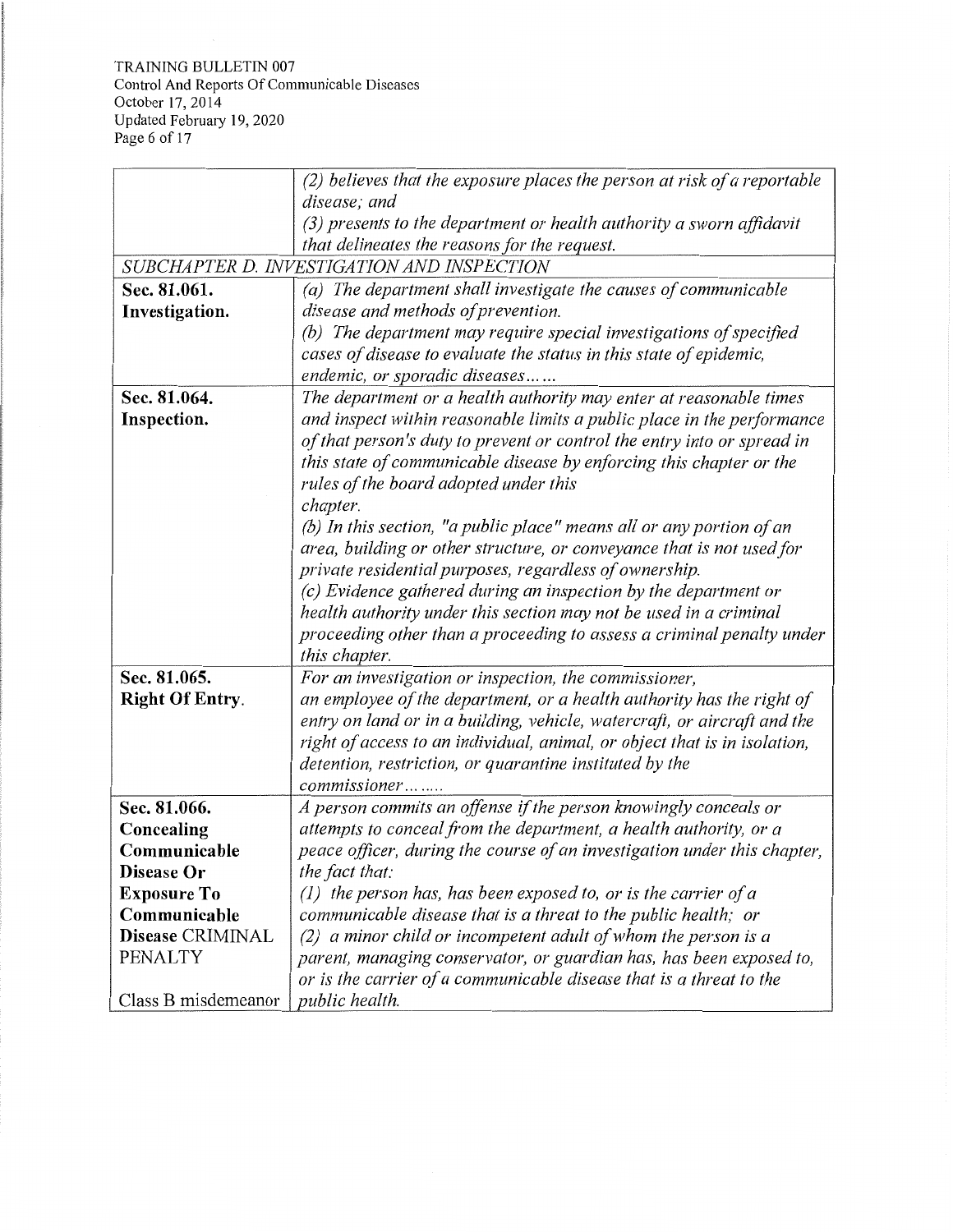TRAINING BULLETIN 007 Control And Reports Of Communicable Diseases October 17, 2014 Updated February 19, 2020 Page 6 of 17

|                        | (2) believes that the exposure places the person at risk of a reportable  |
|------------------------|---------------------------------------------------------------------------|
|                        | disease; and                                                              |
|                        | $(3)$ presents to the department or health authority a sworn affidavit    |
|                        | that delineates the reasons for the request.                              |
|                        | SUBCHAPTER D. INVESTIGATION AND INSPECTION                                |
| Sec. 81.061.           | (a) The department shall investigate the causes of communicable           |
| Investigation.         | disease and methods of prevention.                                        |
|                        | (b) The department may require special investigations of specified        |
|                        | cases of disease to evaluate the status in this state of epidemic,        |
|                        | endemic, or sporadic diseases                                             |
| Sec. 81.064.           | The department or a health authority may enter at reasonable times        |
| Inspection.            | and inspect within reasonable limits a public place in the performance    |
|                        | of that person's duty to prevent or control the entry into or spread in   |
|                        | this state of communicable disease by enforcing this chapter or the       |
|                        | rules of the board adopted under this                                     |
|                        | chapter.                                                                  |
|                        | (b) In this section, "a public place" means all or any portion of an      |
|                        | area, building or other structure, or conveyance that is not used for     |
|                        | private residential purposes, regardless of ownership.                    |
|                        | (c) Evidence gathered during an inspection by the department or           |
|                        | health authority under this section may not be used in a criminal         |
|                        | proceeding other than a proceeding to assess a criminal penalty under     |
|                        | this chapter.                                                             |
| Sec. 81.065.           | For an investigation or inspection, the commissioner,                     |
| <b>Right Of Entry.</b> | an employee of the department, or a health authority has the right of     |
|                        | entry on land or in a building, vehicle, watercraft, or aircraft and the  |
|                        | right of access to an individual, animal, or object that is in isolation, |
|                        | detention, restriction, or quarantine instituted by the                   |
|                        | commissioner                                                              |
| Sec. 81.066.           | A person commits an offense if the person knowingly conceals or           |
| Concealing             | attempts to conceal from the department, a health authority, or a         |
| Communicable           | peace officer, during the course of an investigation under this chapter,  |
| Disease Or             | the fact that:                                                            |
| <b>Exposure To</b>     | $(1)$ the person has, has been exposed to, or is the carrier of a         |
| Communicable           | communicable disease that is a threat to the public health; or            |
| Disease CRIMINAL       | $(2)$ a minor child or incompetent adult of whom the person is a          |
| <b>PENALTY</b>         | parent, managing conservator, or guardian has, has been exposed to,       |
|                        | or is the carrier of a communicable disease that is a threat to the       |
| Class B misdemeanor    | public health.                                                            |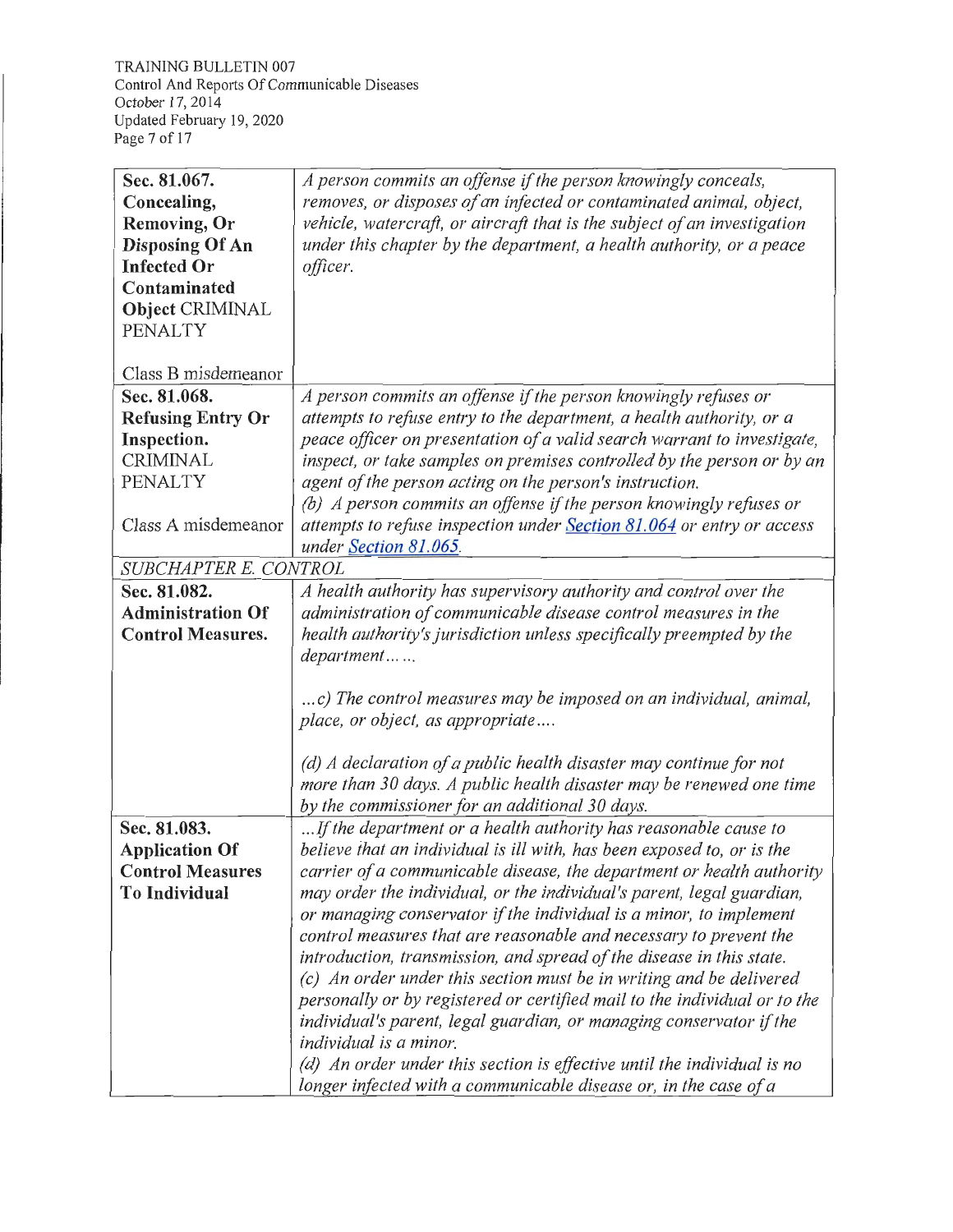TRAINING BULLETIN 007 Control And Reports Of Communicable Diseases October 17, 2014 Updated February 19, 2020 Page 7 of 17

| Sec. 81.067.             | A person commits an offense if the person knowingly conceals,             |
|--------------------------|---------------------------------------------------------------------------|
| Concealing,              | removes, or disposes of an infected or contaminated animal, object,       |
| <b>Removing, Or</b>      | vehicle, watercraft, or aircraft that is the subject of an investigation  |
| <b>Disposing Of An</b>   | under this chapter by the department, a health authority, or a peace      |
| <b>Infected Or</b>       | officer.                                                                  |
| Contaminated             |                                                                           |
| Object CRIMINAL          |                                                                           |
| <b>PENALTY</b>           |                                                                           |
|                          |                                                                           |
| Class B misdemeanor      |                                                                           |
| Sec. 81.068.             | A person commits an offense if the person knowingly refuses or            |
| <b>Refusing Entry Or</b> | attempts to refuse entry to the department, a health authority, or a      |
| Inspection.              | peace officer on presentation of a valid search warrant to investigate,   |
| <b>CRIMINAL</b>          | inspect, or take samples on premises controlled by the person or by an    |
| PENALTY                  | agent of the person acting on the person's instruction.                   |
|                          | (b) A person commits an offense if the person knowingly refuses or        |
| Class A misdemeanor      | attempts to refuse inspection under Section 81.064 or entry or access     |
|                          | under Section 81.065.                                                     |
| SUBCHAPTER E. CONTROL    |                                                                           |
| Sec. 81.082.             | A health authority has supervisory authority and control over the         |
| <b>Administration Of</b> | administration of communicable disease control measures in the            |
| <b>Control Measures.</b> | health authority's jurisdiction unless specifically preempted by the      |
|                          | department                                                                |
|                          |                                                                           |
|                          | c) The control measures may be imposed on an individual, animal,          |
|                          | place, or object, as appropriate                                          |
|                          |                                                                           |
|                          | (d) A declaration of a public health disaster may continue for not        |
|                          | more than 30 days. A public health disaster may be renewed one time       |
|                          | by the commissioner for an additional 30 days.                            |
| Sec. 81.083.             | If the department or a health authority has reasonable cause to           |
| <b>Application Of</b>    | believe that an individual is ill with, has been exposed to, or is the    |
| <b>Control Measures</b>  | carrier of a communicable disease, the department or health authority     |
| <b>To Individual</b>     | may order the individual, or the individual's parent, legal guardian,     |
|                          | or managing conservator if the individual is a minor, to implement        |
|                          | control measures that are reasonable and necessary to prevent the         |
|                          | introduction, transmission, and spread of the disease in this state.      |
|                          | (c) An order under this section must be in writing and be delivered       |
|                          | personally or by registered or certified mail to the individual or to the |
|                          | individual's parent, legal guardian, or managing conservator if the       |
|                          | individual is a minor.                                                    |
|                          | (d) An order under this section is effective until the individual is no   |
|                          | longer infected with a communicable disease or, in the case of a          |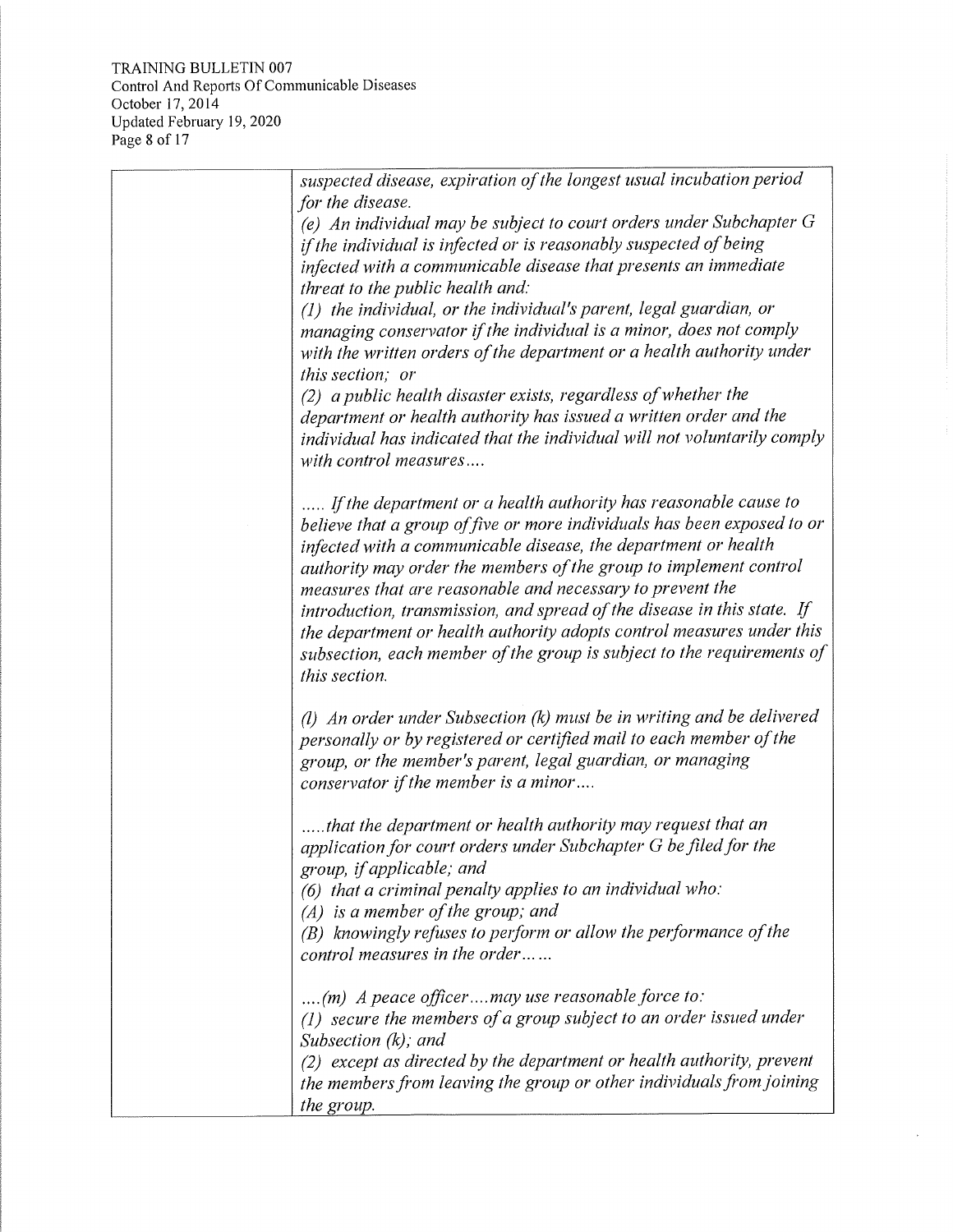TRAINING BULLETIN 007 Control And Reports Of Communicable Diseases October 17, 2014 Updated February 19, 2020 Page 8 of 17

| suspected disease, expiration of the longest usual incubation period<br>for the disease.<br>(e) An individual may be subject to court orders under Subchapter $G$                                                                                                                                                                                                                                                                                                                                                                                                                             |
|-----------------------------------------------------------------------------------------------------------------------------------------------------------------------------------------------------------------------------------------------------------------------------------------------------------------------------------------------------------------------------------------------------------------------------------------------------------------------------------------------------------------------------------------------------------------------------------------------|
| if the individual is infected or is reasonably suspected of being<br>infected with a communicable disease that presents an immediate<br>threat to the public health and:                                                                                                                                                                                                                                                                                                                                                                                                                      |
| (1) the individual, or the individual's parent, legal guardian, or<br>managing conservator if the individual is a minor, does not comply<br>with the written orders of the department or a health authority under<br>this section; or                                                                                                                                                                                                                                                                                                                                                         |
| (2) a public health disaster exists, regardless of whether the<br>department or health authority has issued a written order and the<br>individual has indicated that the individual will not voluntarily comply<br>with control measures                                                                                                                                                                                                                                                                                                                                                      |
| If the department or a health authority has reasonable cause to<br>believe that a group of five or more individuals has been exposed to or<br>infected with a communicable disease, the department or health<br>authority may order the members of the group to implement control<br>measures that are reasonable and necessary to prevent the<br>introduction, transmission, and spread of the disease in this state. If<br>the department or health authority adopts control measures under this<br>subsection, each member of the group is subject to the requirements of<br>this section. |
| $(l)$ An order under Subsection $(k)$ must be in writing and be delivered<br>personally or by registered or certified mail to each member of the<br>group, or the member's parent, legal guardian, or managing<br>conservator if the member is a minor                                                                                                                                                                                                                                                                                                                                        |
| that the department or health authority may request that an<br>application for court orders under Subchapter G be filed for the<br>group, if applicable; and<br>$(6)$ that a criminal penalty applies to an individual who:<br>$(A)$ is a member of the group; and<br>(B) knowingly refuses to perform or allow the performance of the                                                                                                                                                                                                                                                        |
| control measures in the order<br>(m) A peace officermay use reasonable force to:                                                                                                                                                                                                                                                                                                                                                                                                                                                                                                              |
| $(1)$ secure the members of a group subject to an order issued under<br>Subsection $(k)$ ; and                                                                                                                                                                                                                                                                                                                                                                                                                                                                                                |
| (2) except as directed by the department or health authority, prevent<br>the members from leaving the group or other individuals from joining<br>the group.                                                                                                                                                                                                                                                                                                                                                                                                                                   |

 $\bar{\nu}$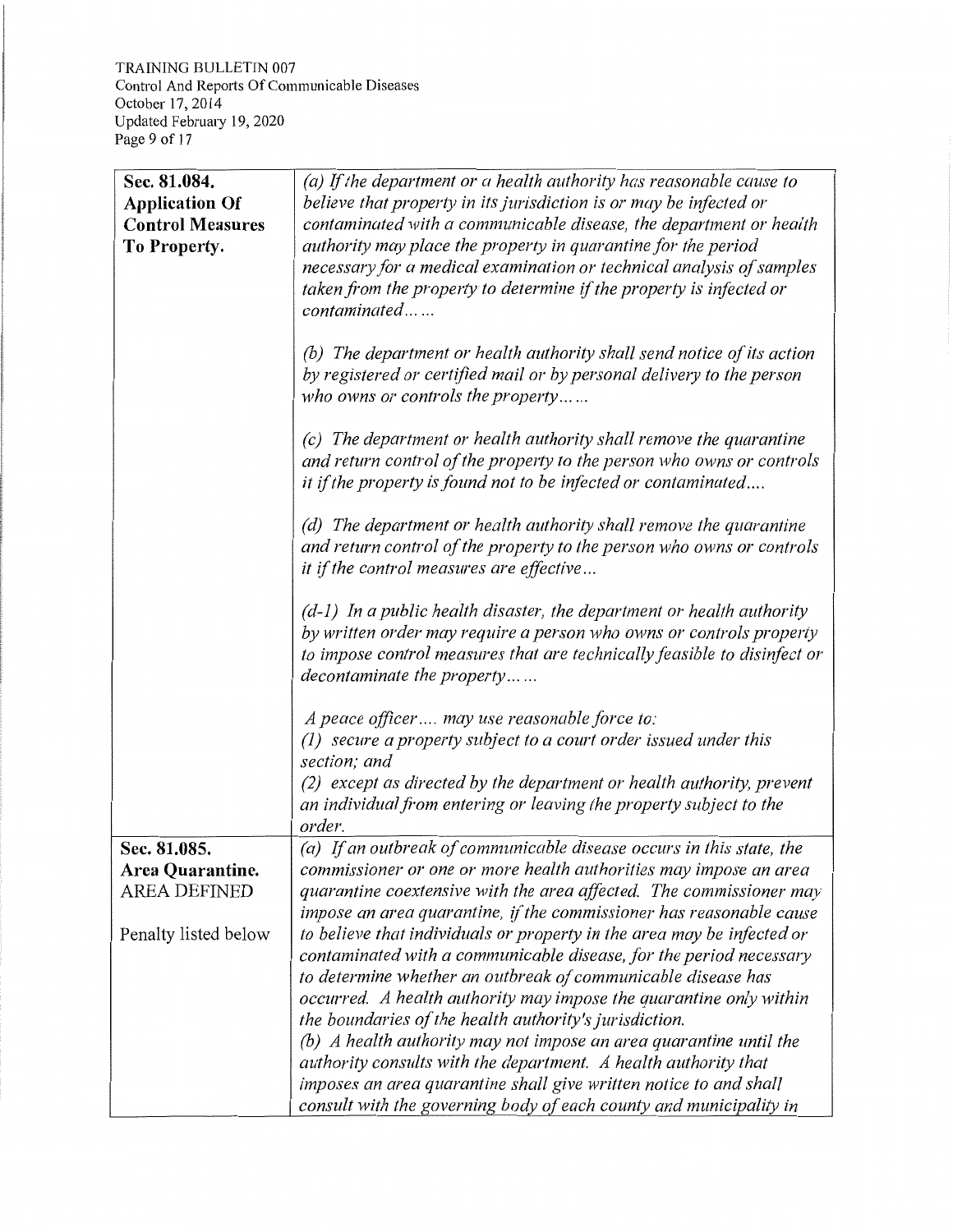TRAINING BULLETIN 007 Control And Reports Of Communicable Diseases October 17, 2014 Updated February 19, 2020 Page 9 of 17

| Sec. 81.084.<br><b>Application Of</b><br><b>Control Measures</b><br>To Property. | $(a)$ If the department or a health authority has reasonable cause to<br>believe that property in its jurisdiction is or may be infected or<br>contaminated with a communicable disease, the department or health<br>authority may place the property in quarantine for the period<br>necessary for a medical examination or technical analysis of samples<br>taken from the property to determine if the property is infected or<br>contaminated                                                                                                                                                                                  |
|----------------------------------------------------------------------------------|------------------------------------------------------------------------------------------------------------------------------------------------------------------------------------------------------------------------------------------------------------------------------------------------------------------------------------------------------------------------------------------------------------------------------------------------------------------------------------------------------------------------------------------------------------------------------------------------------------------------------------|
|                                                                                  | (b) The department or health authority shall send notice of its action<br>by registered or certified mail or by personal delivery to the person<br>who owns or controls the property                                                                                                                                                                                                                                                                                                                                                                                                                                               |
|                                                                                  | (c) The department or health authority shall remove the quarantine<br>and return control of the property to the person who owns or controls<br>it if the property is found not to be infected or contaminated                                                                                                                                                                                                                                                                                                                                                                                                                      |
|                                                                                  | (d) The department or health authority shall remove the quarantine<br>and return control of the property to the person who owns or controls<br>it if the control measures are effective                                                                                                                                                                                                                                                                                                                                                                                                                                            |
|                                                                                  | $(d-1)$ In a public health disaster, the department or health authority<br>by written order may require a person who owns or controls property<br>to impose control measures that are technically feasible to disinfect or<br>decontaminate the property                                                                                                                                                                                                                                                                                                                                                                           |
|                                                                                  | A peace officer may use reasonable force to:<br>(1) secure a property subject to a court order issued under this<br>section; and<br>(2) except as directed by the department or health authority, prevent<br>an individual from entering or leaving the property subject to the<br>order.                                                                                                                                                                                                                                                                                                                                          |
| Sec. 81.085.<br>Area Quarantine.<br><b>AREA DEFINED</b>                          | (a) If an outbreak of communicable disease occurs in this state, the<br>commissioner or one or more health authorities may impose an area<br>quarantine coextensive with the area affected. The commissioner may<br>impose an area quarantine, if the commissioner has reasonable cause                                                                                                                                                                                                                                                                                                                                            |
| Penalty listed below                                                             | to believe that individuals or property in the area may be infected or<br>contaminated with a communicable disease, for the period necessary<br>to determine whether an outbreak of communicable disease has<br>occurred. A health authority may impose the quarantine only within<br>the boundaries of the health authority's jurisdiction.<br>$(b)$ A health authority may not impose an area quarantine until the<br>authority consults with the department. A health authority that<br>imposes an area quarantine shall give written notice to and shall<br>consult with the governing body of each county and municipality in |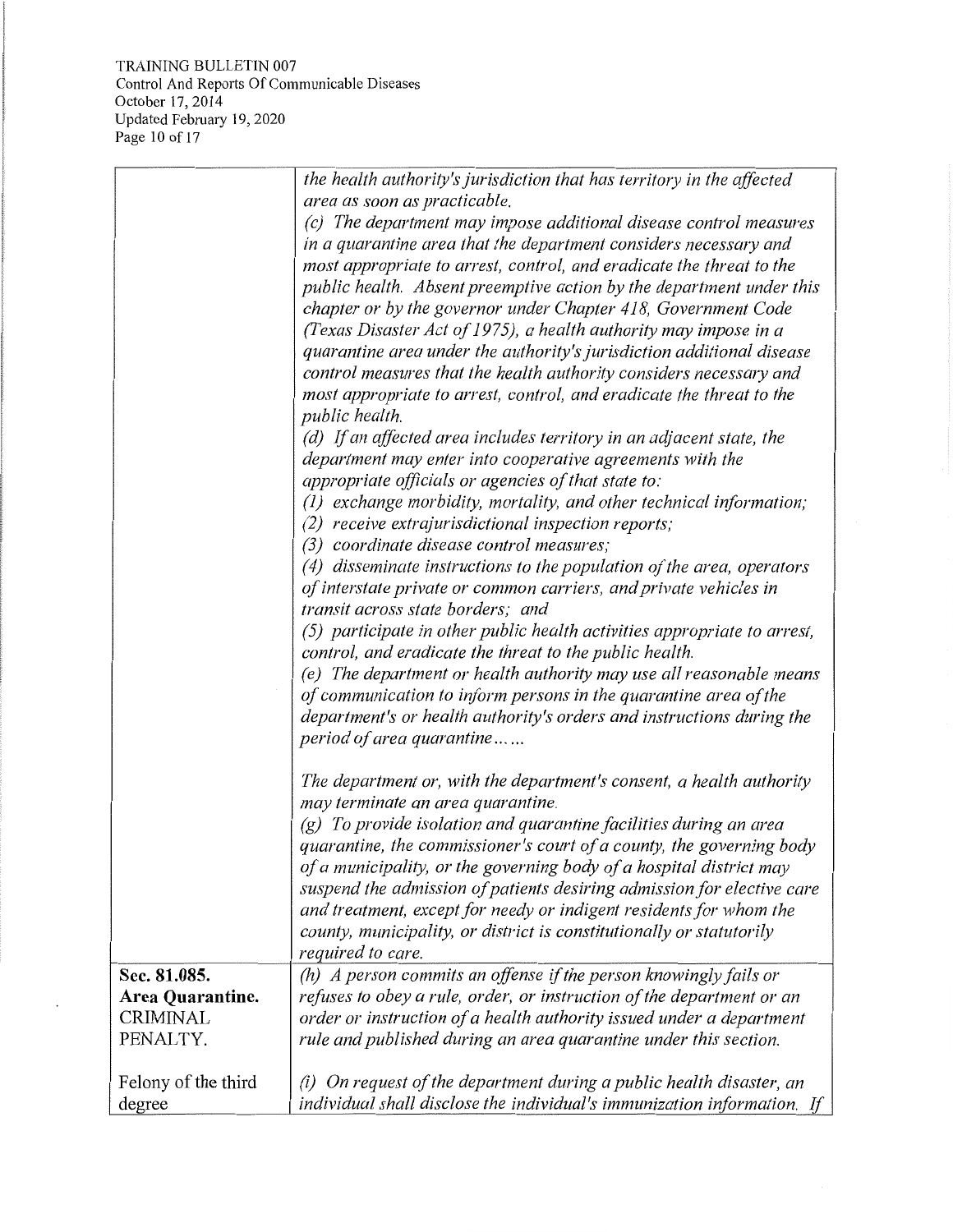TRAINING BULLETIN 007 Control And Reports Of Communicable Diseases October 17, 2014 Updated February 19, 2020 Page 10 of 17

 $\overline{\phantom{a}}$ 

|                     | the health authority's jurisdiction that has territory in the affected   |
|---------------------|--------------------------------------------------------------------------|
|                     | area as soon as practicable.                                             |
|                     | (c) The department may impose additional disease control measures        |
|                     | in a quarantine area that the department considers necessary and         |
|                     | most appropriate to arrest, control, and eradicate the threat to the     |
|                     | public health. Absent preemptive action by the department under this     |
|                     | chapter or by the governor under Chapter 418, Government Code            |
|                     | (Texas Disaster Act of 1975), a health authority may impose in a         |
|                     | quarantine area under the authority's jurisdiction additional disease    |
|                     | control measures that the health authority considers necessary and       |
|                     | most appropriate to arrest, control, and eradicate the threat to the     |
|                     | public health.                                                           |
|                     | (d) If an affected area includes territory in an adjacent state, the     |
|                     | department may enter into cooperative agreements with the                |
|                     | appropriate officials or agencies of that state to:                      |
|                     | (1) exchange morbidity, mortality, and other technical information;      |
|                     | (2) receive extrajurisdictional inspection reports;                      |
|                     | (3) coordinate disease control measures;                                 |
|                     | $(4)$ disseminate instructions to the population of the area, operators  |
|                     | of interstate private or common carriers, and private vehicles in        |
|                     | transit across state borders; and                                        |
|                     | (5) participate in other public health activities appropriate to arrest, |
|                     | control, and eradicate the threat to the public health.                  |
|                     | (e) The department or health authority may use all reasonable means      |
|                     | of communication to inform persons in the quarantine area of the         |
|                     | department's or health authority's orders and instructions during the    |
|                     | period of area quarantine                                                |
|                     |                                                                          |
|                     | The department or, with the department's consent, a health authority     |
|                     | may terminate an area quarantine.                                        |
|                     | $(g)$ To provide isolation and quarantine facilities during an area      |
|                     | quarantine, the commissioner's court of a county, the governing body     |
|                     | of a municipality, or the governing body of a hospital district may      |
|                     | suspend the admission of patients desiring admission for elective care   |
|                     | and treatment, except for needy or indigent residents for whom the       |
|                     | county, municipality, or district is constitutionally or statutorily     |
|                     | required to care.                                                        |
| Sec. 81.085.        | (h) A person commits an offense if the person knowingly fails or         |
| Area Quarantine.    | refuses to obey a rule, order, or instruction of the department or an    |
| <b>CRIMINAL</b>     | order or instruction of a health authority issued under a department     |
| PENALTY.            | rule and published during an area quarantine under this section.         |
|                     |                                                                          |
| Felony of the third | On request of the department during a public health disaster, an<br>(i)  |
| degree              | individual shall disclose the individual's immunization information. If  |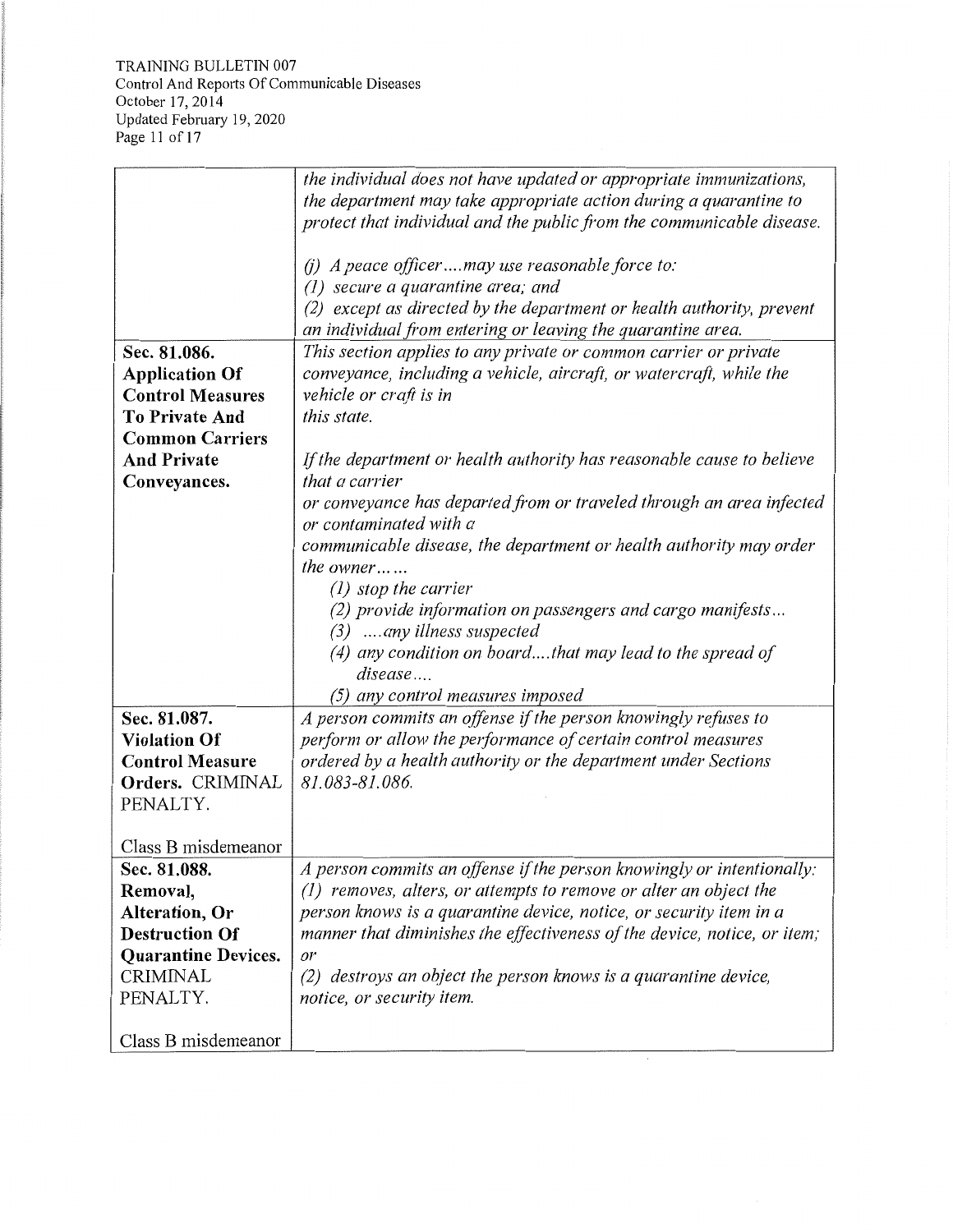TRAINING BULLETIN 007 Control And Reports Of Communicable Diseases October 17, 2014 Updated February 19, 2020 Page 11 of 17

|                            | the individual does not have updated or appropriate immunizations,       |
|----------------------------|--------------------------------------------------------------------------|
|                            | the department may take appropriate action during a quarantine to        |
|                            | protect that individual and the public from the communicable disease.    |
|                            |                                                                          |
|                            | (i) A peace officermay use reasonable force to:                          |
|                            | secure a quarantine area; and<br>(1)                                     |
|                            | except as directed by the department or health authority, prevent<br>(2) |
|                            | an individual from entering or leaving the quarantine area.              |
| Sec. 81.086.               | This section applies to any private or common carrier or private         |
| <b>Application Of</b>      | conveyance, including a vehicle, aircraft, or watercraft, while the      |
| <b>Control Measures</b>    | vehicle or craft is in                                                   |
| <b>To Private And</b>      | this state.                                                              |
| <b>Common Carriers</b>     |                                                                          |
|                            |                                                                          |
| <b>And Private</b>         | If the department or health authority has reasonable cause to believe    |
| Conveyances.               | that a carrier                                                           |
|                            | or conveyance has departed from or traveled through an area infected     |
|                            | or contaminated with a                                                   |
|                            | communicable disease, the department or health authority may order       |
|                            | the owner $\ldots$                                                       |
|                            | $(1)$ stop the carrier                                                   |
|                            | (2) provide information on passengers and cargo manifests                |
|                            | (3) any illness suspected                                                |
|                            | (4) any condition on boardthat may lead to the spread of                 |
|                            | disease                                                                  |
|                            | (5) any control measures imposed                                         |
| Sec. 81.087.               | A person commits an offense if the person knowingly refuses to           |
| <b>Violation Of</b>        | perform or allow the performance of certain control measures             |
| <b>Control Measure</b>     | ordered by a health authority or the department under Sections           |
| Orders. CRIMINAL           | 81.083-81.086.                                                           |
| PENALTY.                   |                                                                          |
|                            |                                                                          |
| Class B misdemeanor        |                                                                          |
| Sec. 81.088.               | A person commits an offense if the person knowingly or intentionally:    |
| Removal,                   | $(1)$ removes, alters, or attempts to remove or alter an object the      |
| <b>Alteration</b> , Or     | person knows is a quarantine device, notice, or security item in a       |
| <b>Destruction Of</b>      | manner that diminishes the effectiveness of the device, notice, or item; |
| <b>Quarantine Devices.</b> | or                                                                       |
| <b>CRIMINAL</b>            | $(2)$ destroys an object the person knows is a quarantine device,        |
| PENALTY.                   | notice, or security item.                                                |
|                            |                                                                          |
| Class B misdemeanor        |                                                                          |
|                            |                                                                          |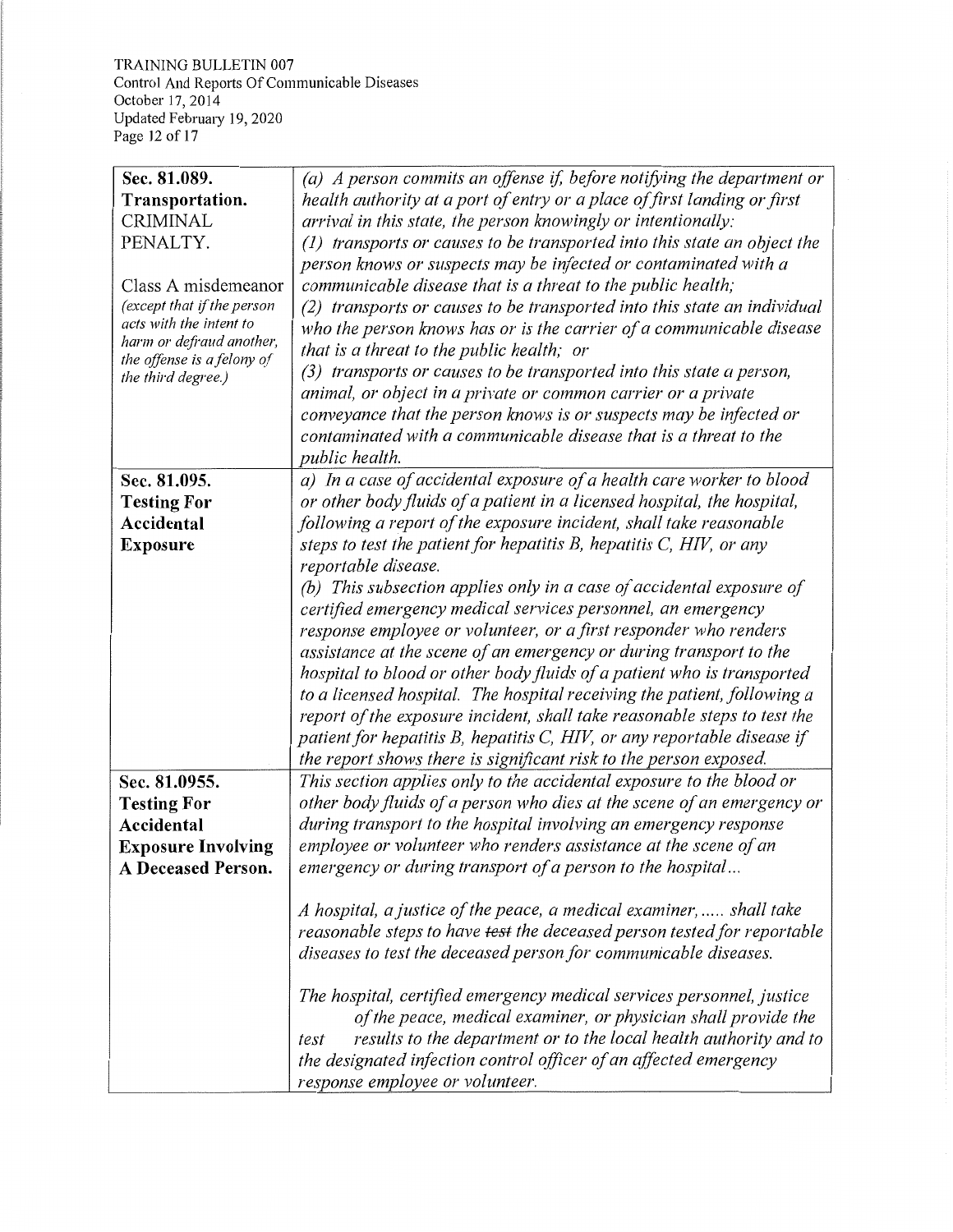TRAINING BULLETIN 007 Control And Reports Of Communicable Diseases October 17, 2014 Updated Februaiy 19, 2020 Page 12 of 17

| Sec. 81.089.               | (a) A person commits an offense if, before notifying the department or             |
|----------------------------|------------------------------------------------------------------------------------|
| Transportation.            | health authority at a port of entry or a place of first landing or first           |
| <b>CRIMINAL</b>            | arrival in this state, the person knowingly or intentionally:                      |
| PENALTY.                   | (1) transports or causes to be transported into this state an object the           |
|                            | person knows or suspects may be infected or contaminated with a                    |
| Class A misdemeanor        | communicable disease that is a threat to the public health;                        |
| (except that if the person | (2) transports or causes to be transported into this state an individual           |
| acts with the intent to    | who the person knows has or is the carrier of a communicable disease               |
| harm or defraud another,   | that is a threat to the public health; or                                          |
| the offense is a felony of | (3) transports or causes to be transported into this state a person,               |
| the third degree.)         | animal, or object in a private or common carrier or a private                      |
|                            | conveyance that the person knows is or suspects may be infected or                 |
|                            | contaminated with a communicable disease that is a threat to the                   |
|                            | public health.                                                                     |
| Sec. 81.095.               | a) In a case of accidental exposure of a health care worker to blood               |
| <b>Testing For</b>         | or other body fluids of a patient in a licensed hospital, the hospital,            |
| Accidental                 | following a report of the exposure incident, shall take reasonable                 |
| <b>Exposure</b>            | steps to test the patient for hepatitis $B$ , hepatitis $C$ , $HIV$ , or any       |
|                            | reportable disease.                                                                |
|                            | (b) This subsection applies only in a case of accidental exposure of               |
|                            | certified emergency medical services personnel, an emergency                       |
|                            |                                                                                    |
|                            | response employee or volunteer, or a first responder who renders                   |
|                            | assistance at the scene of an emergency or during transport to the                 |
|                            | hospital to blood or other body fluids of a patient who is transported             |
|                            | to a licensed hospital. The hospital receiving the patient, following a            |
|                            | report of the exposure incident, shall take reasonable steps to test the           |
|                            | patient for hepatitis B, hepatitis C, HIV, or any reportable disease if            |
|                            | the report shows there is significant risk to the person exposed.                  |
| Sec. 81.0955.              | This section applies only to the accidental exposure to the blood or               |
| <b>Testing For</b>         | other body fluids of a person who dies at the scene of an emergency or             |
| Accidental                 | during transport to the hospital involving an emergency response                   |
| <b>Exposure Involving</b>  | employee or volunteer who renders assistance at the scene of an                    |
| <b>A Deceased Person.</b>  | emergency or during transport of a person to the hospital                          |
|                            |                                                                                    |
|                            | A hospital, a justice of the peace, a medical examiner,  shall take                |
|                            | reasonable steps to have <del>test</del> the deceased person tested for reportable |
|                            | diseases to test the deceased person for communicable diseases.                    |
|                            |                                                                                    |
|                            | The hospital, certified emergency medical services personnel, justice              |
|                            | of the peace, medical examiner, or physician shall provide the                     |
|                            | results to the department or to the local health authority and to<br>test          |
|                            | the designated infection control officer of an affected emergency                  |
|                            | response employee or volunteer.                                                    |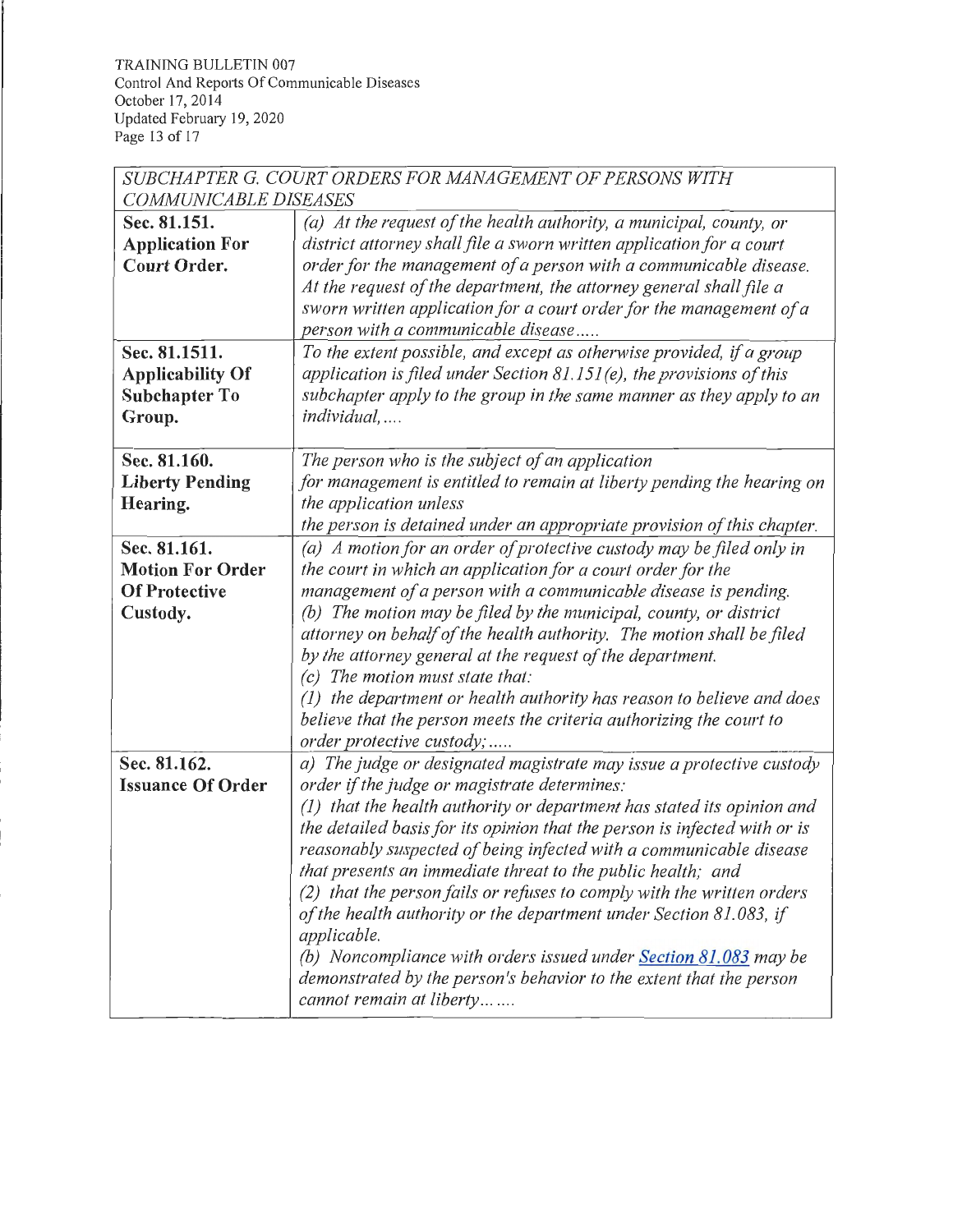TRAINING BULLETIN 007 Control And Reports Of Communicable Diseases October 17, 2014 Updated February 19, 2020 Page 13 of 17

| SUBCHAPTER G. COURT ORDERS FOR MANAGEMENT OF PERSONS WITH |                                                                                                                                    |  |
|-----------------------------------------------------------|------------------------------------------------------------------------------------------------------------------------------------|--|
| COMMUNICABLE DISEASES                                     |                                                                                                                                    |  |
| Sec. 81.151.                                              | (a) At the request of the health authority, a municipal, county, or                                                                |  |
| <b>Application For</b>                                    | district attorney shall file a sworn written application for a court                                                               |  |
| <b>Court Order.</b>                                       | order for the management of a person with a communicable disease.                                                                  |  |
|                                                           | At the request of the department, the attorney general shall file a                                                                |  |
|                                                           | sworn written application for a court order for the management of a                                                                |  |
|                                                           | person with a communicable disease                                                                                                 |  |
| Sec. 81.1511.                                             | To the extent possible, and except as otherwise provided, if a group                                                               |  |
| <b>Applicability Of</b>                                   | application is filed under Section $81.151(e)$ , the provisions of this                                                            |  |
| <b>Subchapter To</b>                                      | subchapter apply to the group in the same manner as they apply to an                                                               |  |
| Group.                                                    | individual,                                                                                                                        |  |
|                                                           |                                                                                                                                    |  |
| Sec. 81.160.                                              | The person who is the subject of an application                                                                                    |  |
| <b>Liberty Pending</b>                                    | for management is entitled to remain at liberty pending the hearing on                                                             |  |
| Hearing.                                                  | the application unless                                                                                                             |  |
|                                                           | the person is detained under an appropriate provision of this chapter.                                                             |  |
| Sec. 81.161.                                              | (a) A motion for an order of protective custody may be filed only in                                                               |  |
| <b>Motion For Order</b>                                   | the court in which an application for a court order for the                                                                        |  |
| <b>Of Protective</b>                                      | management of a person with a communicable disease is pending.                                                                     |  |
| Custody.                                                  | (b) The motion may be filed by the municipal, county, or district                                                                  |  |
|                                                           | attorney on behalf of the health authority. The motion shall be filed<br>by the attorney general at the request of the department. |  |
|                                                           | $(c)$ The motion must state that:                                                                                                  |  |
|                                                           | $(1)$ the department or health authority has reason to believe and does                                                            |  |
|                                                           | believe that the person meets the criteria authorizing the court to                                                                |  |
|                                                           | order protective custody;                                                                                                          |  |
| Sec. 81.162.                                              | a) The judge or designated magistrate may issue a protective custody                                                               |  |
| <b>Issuance Of Order</b>                                  | order if the judge or magistrate determines:                                                                                       |  |
|                                                           | (1) that the health authority or department has stated its opinion and                                                             |  |
|                                                           | the detailed basis for its opinion that the person is infected with or is                                                          |  |
|                                                           | reasonably suspected of being infected with a communicable disease                                                                 |  |
|                                                           | that presents an immediate threat to the public health; and                                                                        |  |
|                                                           | (2) that the person fails or refuses to comply with the written orders                                                             |  |
|                                                           | of the health authority or the department under Section 81.083, if                                                                 |  |
|                                                           | applicable.                                                                                                                        |  |
|                                                           | (b) Noncompliance with orders issued under Section 81.083 may be                                                                   |  |
|                                                           | demonstrated by the person's behavior to the extent that the person                                                                |  |
|                                                           | cannot remain at liberty                                                                                                           |  |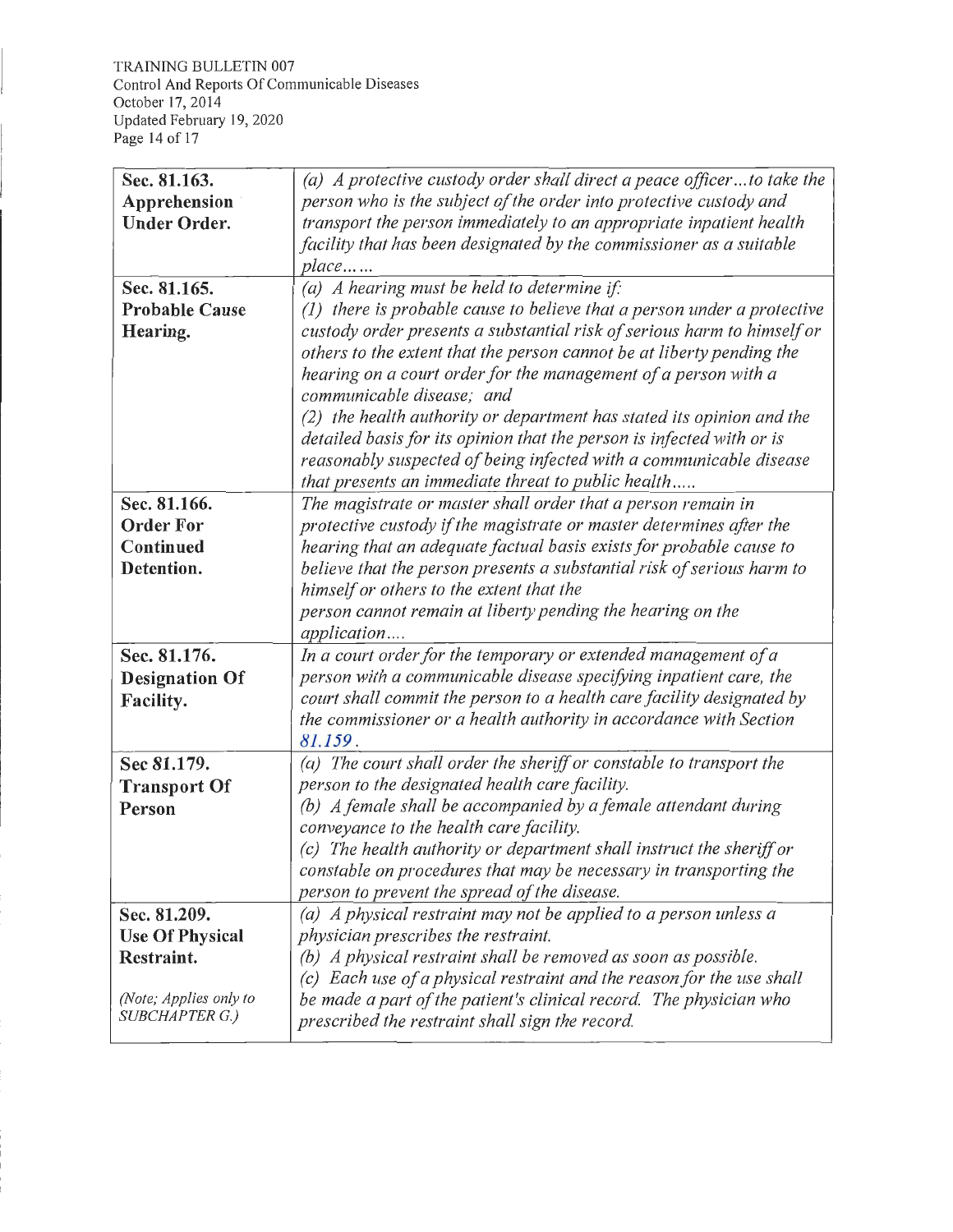| Sec. 81.163.                             | (a) A protective custody order shall direct a peace officerto take the    |
|------------------------------------------|---------------------------------------------------------------------------|
| Apprehension                             | person who is the subject of the order into protective custody and        |
| <b>Under Order.</b>                      | transport the person immediately to an appropriate inpatient health       |
|                                          | facility that has been designated by the commissioner as a suitable       |
|                                          | $place$                                                                   |
| Sec. 81.165.                             | (a) A hearing must be held to determine if:                               |
| <b>Probable Cause</b>                    | $(1)$ there is probable cause to believe that a person under a protective |
| Hearing.                                 | custody order presents a substantial risk of serious harm to himself or   |
|                                          | others to the extent that the person cannot be at liberty pending the     |
|                                          | hearing on a court order for the management of a person with a            |
|                                          | communicable disease; and                                                 |
|                                          | (2) the health authority or department has stated its opinion and the     |
|                                          | detailed basis for its opinion that the person is infected with or is     |
|                                          | reasonably suspected of being infected with a communicable disease        |
|                                          | that presents an immediate threat to public health                        |
| Sec. 81.166.                             | The magistrate or master shall order that a person remain in              |
| <b>Order For</b>                         | protective custody if the magistrate or master determines after the       |
| Continued                                | hearing that an adequate factual basis exists for probable cause to       |
| Detention.                               | believe that the person presents a substantial risk of serious harm to    |
|                                          | himself or others to the extent that the                                  |
|                                          | person cannot remain at liberty pending the hearing on the                |
|                                          | application                                                               |
| Sec. 81.176.                             | In a court order for the temporary or extended management of a            |
| <b>Designation Of</b>                    | person with a communicable disease specifying inpatient care, the         |
| Facility.                                | court shall commit the person to a health care facility designated by     |
|                                          | the commissioner or a health authority in accordance with Section         |
|                                          | 81.159.                                                                   |
| Sec 81.179.                              | (a) The court shall order the sheriff or constable to transport the       |
| <b>Transport Of</b>                      | person to the designated health care facility.                            |
| Person                                   | (b) A female shall be accompanied by a female attendant during            |
|                                          | conveyance to the health care facility.                                   |
|                                          | $(c)$ The health authority or department shall instruct the sheriff or    |
|                                          | constable on procedures that may be necessary in transporting the         |
|                                          | person to prevent the spread of the disease.                              |
| Sec. 81.209.                             | (a) A physical restraint may not be applied to a person unless a          |
| <b>Use Of Physical</b>                   | physician prescribes the restraint.                                       |
| Restraint.                               | (b) A physical restraint shall be removed as soon as possible.            |
|                                          | Each use of a physical restraint and the reason for the use shall<br>(c)  |
| (Note; Applies only to<br>SUBCHAPTER G.) | be made a part of the patient's clinical record. The physician who        |
|                                          | prescribed the restraint shall sign the record.                           |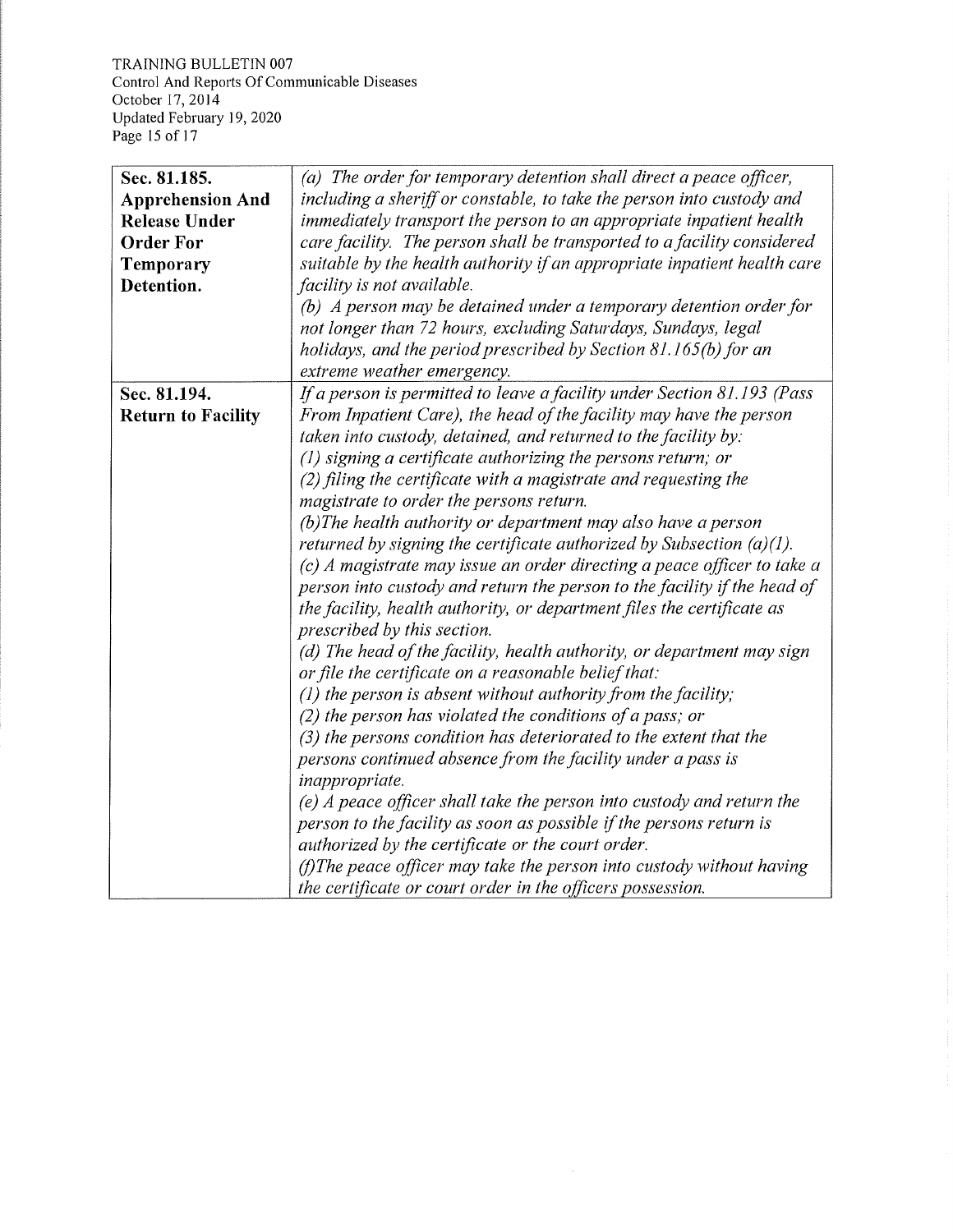TRAINING BULLETIN 007 Control And Reports Of Communicable Diseases October 17, 2014 Updated February 19, 2020 Page 15 of 17

| Sec. 81.185.              | (a) The order for temporary detention shall direct a peace officer,      |
|---------------------------|--------------------------------------------------------------------------|
| <b>Apprehension And</b>   | including a sheriff or constable, to take the person into custody and    |
| <b>Release Under</b>      | immediately transport the person to an appropriate inpatient health      |
| <b>Order For</b>          | care facility. The person shall be transported to a facility considered  |
| Temporary                 | suitable by the health authority if an appropriate inpatient health care |
| Detention.                | facility is not available.                                               |
|                           | (b) A person may be detained under a temporary detention order for       |
|                           | not longer than 72 hours, excluding Saturdays, Sundays, legal            |
|                           | holidays, and the period prescribed by Section 81.165(b) for an          |
|                           | extreme weather emergency.                                               |
| Sec. 81.194.              | If a person is permitted to leave a facility under Section 81.193 (Pass  |
| <b>Return to Facility</b> | From Inpatient Care), the head of the facility may have the person       |
|                           | taken into custody, detained, and returned to the facility by:           |
|                           | $(1)$ signing a certificate authorizing the persons return; or           |
|                           | (2) filing the certificate with a magistrate and requesting the          |
|                           | magistrate to order the persons return.                                  |
|                           | (b)The health authority or department may also have a person             |
|                           | returned by signing the certificate authorized by Subsection (a)(1).     |
|                           | (c) A magistrate may issue an order directing a peace officer to take a  |
|                           | person into custody and return the person to the facility if the head of |
|                           | the facility, health authority, or department files the certificate as   |
|                           | prescribed by this section.                                              |
|                           | (d) The head of the facility, health authority, or department may sign   |
|                           | or file the certificate on a reasonable belief that:                     |
|                           | $(1)$ the person is absent without authority from the facility;          |
|                           | (2) the person has violated the conditions of a pass; or                 |
|                           | (3) the persons condition has deteriorated to the extent that the        |
|                           | persons continued absence from the facility under a pass is              |
|                           | inappropriate.                                                           |
|                           | (e) A peace officer shall take the person into custody and return the    |
|                           | person to the facility as soon as possible if the persons return is      |
|                           | authorized by the certificate or the court order.                        |
|                           | $(f)$ The peace officer may take the person into custody without having  |
|                           | the certificate or court order in the officers possession.               |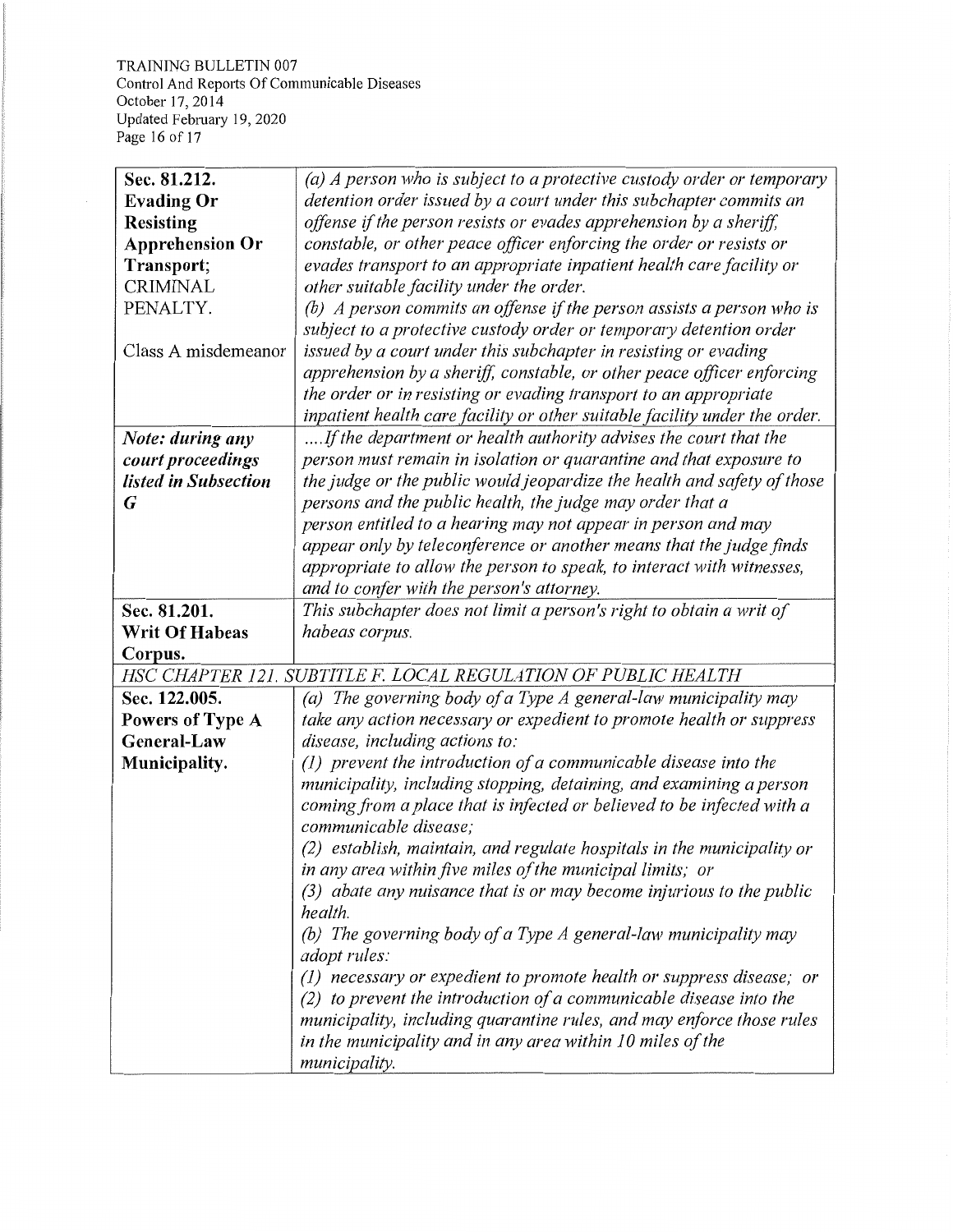TRAINING BULLETIN 007 Control And Reports Of Communicable Diseases October 17, 2014 Updated February 19, 2020 Page 16 of 17

| Sec. 81.212.                                                   | (a) A person who is subject to a protective custody order or temporary     |
|----------------------------------------------------------------|----------------------------------------------------------------------------|
| <b>Evading Or</b>                                              | detention order issued by a court under this subchapter commits an         |
| <b>Resisting</b>                                               | offense if the person resists or evades apprehension by a sheriff,         |
| <b>Apprehension Or</b>                                         | constable, or other peace officer enforcing the order or resists or        |
| Transport;                                                     | evades transport to an appropriate inpatient health care facility or       |
| <b>CRIMINAL</b>                                                | other suitable facility under the order.                                   |
| PENALTY.                                                       | (b) A person commits an offense if the person assists a person who is      |
|                                                                | subject to a protective custody order or temporary detention order         |
| Class A misdemeanor                                            | issued by a court under this subchapter in resisting or evading            |
|                                                                | apprehension by a sheriff, constable, or other peace officer enforcing     |
|                                                                | the order or in resisting or evading transport to an appropriate           |
|                                                                | inpatient health care facility or other suitable facility under the order. |
| Note: during any                                               | If the department or health authority advises the court that the           |
| court proceedings                                              | person must remain in isolation or quarantine and that exposure to         |
| listed in Subsection                                           | the judge or the public would jeopardize the health and safety of those    |
| G                                                              | persons and the public health, the judge may order that a                  |
|                                                                | person entitled to a hearing may not appear in person and may              |
|                                                                | appear only by teleconference or another means that the judge finds        |
|                                                                | appropriate to allow the person to speak, to interact with witnesses,      |
|                                                                | and to confer with the person's attorney.                                  |
| Sec. 81.201.                                                   | This subchapter does not limit a person's right to obtain a writ of        |
| <b>Writ Of Habeas</b>                                          | habeas corpus.                                                             |
| Corpus.                                                        |                                                                            |
| HSC CHAPTER 121. SUBTITLE F. LOCAL REGULATION OF PUBLIC HEALTH |                                                                            |
| Sec. 122.005.                                                  | (a) The governing body of a Type $A$ general-law municipality may          |
| Powers of Type A                                               | take any action necessary or expedient to promote health or suppress       |
| General-Law                                                    | disease, including actions to:                                             |
| Municipality.                                                  | $(1)$ prevent the introduction of a communicable disease into the          |
|                                                                | municipality, including stopping, detaining, and examining a person        |
|                                                                | coming from a place that is infected or believed to be infected with a     |
|                                                                | communicable disease;                                                      |
|                                                                | (2) establish, maintain, and regulate hospitals in the municipality or     |
|                                                                | in any area within five miles of the municipal limits; or                  |
|                                                                | $(3)$ abate any muisance that is or may become injurious to the public     |
|                                                                | health.                                                                    |
|                                                                | (b) The governing body of a Type $\Lambda$ general-law municipality may    |
|                                                                | <i>adopt rules:</i>                                                        |
|                                                                | $(1)$ necessary or expedient to promote health or suppress disease; or     |
|                                                                | $(2)$ to prevent the introduction of a communicable disease into the       |
|                                                                | municipality, including quarantine rules, and may enforce those rules      |
|                                                                | in the municipality and in any area within 10 miles of the                 |
|                                                                | municipality.                                                              |